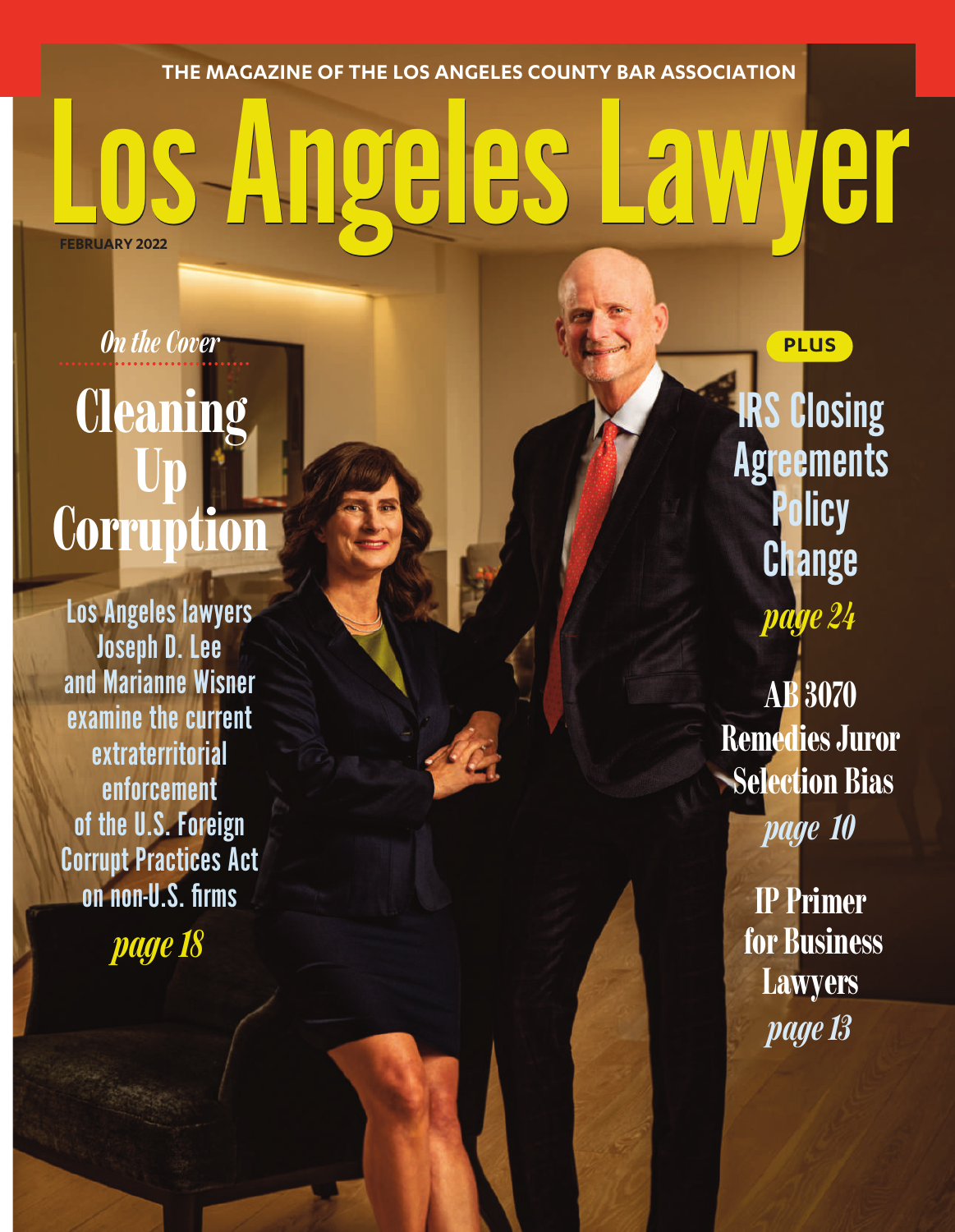**THE MAGAZINE OF THE LOS ANGELES COUNTY BAR ASSOCIATION**

## THE MAGAZINE OF THE LOS ANGELES COUNTY BAR ASSOCIATION **FEBRUARY 2022**

## *<u>On the Cover</u>* **Cleaning Up Corru**

Los Angeles lawyers Joseph D. Lee and Marianne Wisner examine the current extraterritorial enforcement of the U.S. Foreign Corrupt Practices Act on non-U.S. firms

*page18*

**IRS Closing Agreements Policy Change** *page 24*

**PLUS**

**AB 3070 RemediesJuror Selection Bias** *page 10*

> **IP Primer for Business Lawyers** *page13*